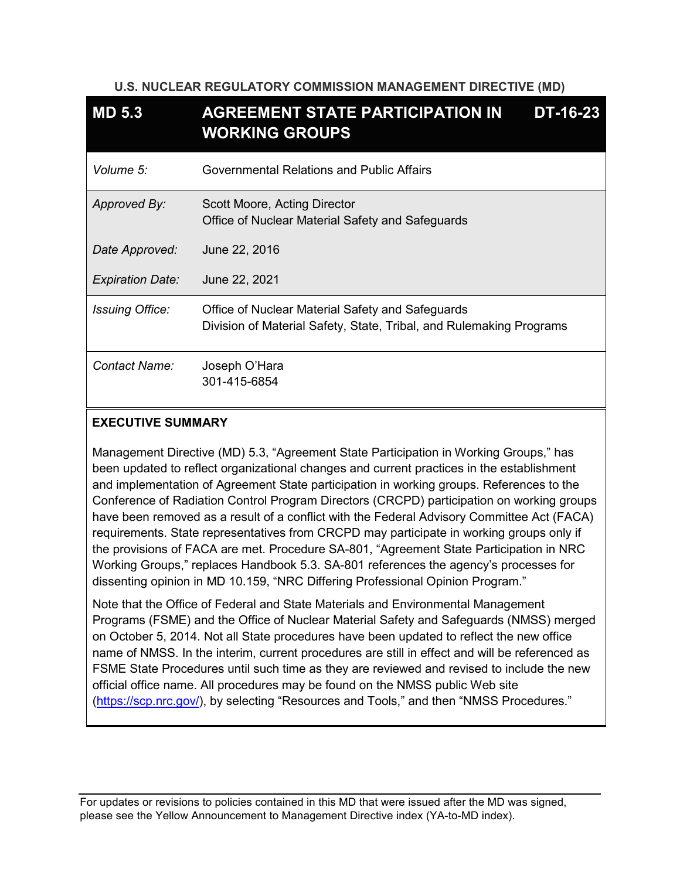### **U.S. NUCLEAR REGULATORY COMMISSION MANAGEMENT DIRECTIVE (MD)**

| MD <sub>5.3</sub>       | <b>AGREEMENT STATE PARTICIPATION IN</b><br><b>DT-16-23</b><br><b>WORKING GROUPS</b>                                     |
|-------------------------|-------------------------------------------------------------------------------------------------------------------------|
| Volume 5:               | Governmental Relations and Public Affairs                                                                               |
| Approved By:            | Scott Moore, Acting Director<br>Office of Nuclear Material Safety and Safeguards                                        |
| Date Approved:          | June 22, 2016                                                                                                           |
| <b>Expiration Date:</b> | June 22, 2021                                                                                                           |
| <b>Issuing Office:</b>  | Office of Nuclear Material Safety and Safeguards<br>Division of Material Safety, State, Tribal, and Rulemaking Programs |
| Contact Name:           | Joseph O'Hara<br>301-415-6854                                                                                           |

# **EXECUTIVE SUMMARY**

Management Directive (MD) 5.3, "Agreement State Participation in Working Groups," has been updated to reflect organizational changes and current practices in the establishment and implementation of Agreement State participation in working groups. References to the Conference of Radiation Control Program Directors (CRCPD) participation on working groups have been removed as a result of a conflict with the Federal Advisory Committee Act (FACA) requirements. State representatives from CRCPD may participate in working groups only if the provisions of FACA are met. Procedure SA-801, "Agreement State Participation in NRC Working Groups," replaces Handbook 5.3. SA-801 references the agency's processes for dissenting opinion in MD 10.159, "NRC Differing Professional Opinion Program."

Note that the Office of Federal and State Materials and Environmental Management Programs (FSME) and the Office of Nuclear Material Safety and Safeguards (NMSS) merged on October 5, 2014. Not all State procedures have been updated to reflect the new office name of NMSS. In the interim, current procedures are still in effect and will be referenced as FSME State Procedures until such time as they are reviewed and revised to include the new official office name. All procedures may be found on the NMSS public Web site [\(https://scp.nrc.gov/\)](https://scp.nrc.gov/), by selecting "Resources and Tools," and then "NMSS Procedures."

For updates or revisions to policies contained in this MD that were issued after the MD was signed, please see the Yellow Announcement to Management Directive index (YA-to-MD inde[x\).](http://fusion.nrc.gov/adm/team/DAS/RADB/MD/Lists/yellowtoMD_index/AllItems.aspx)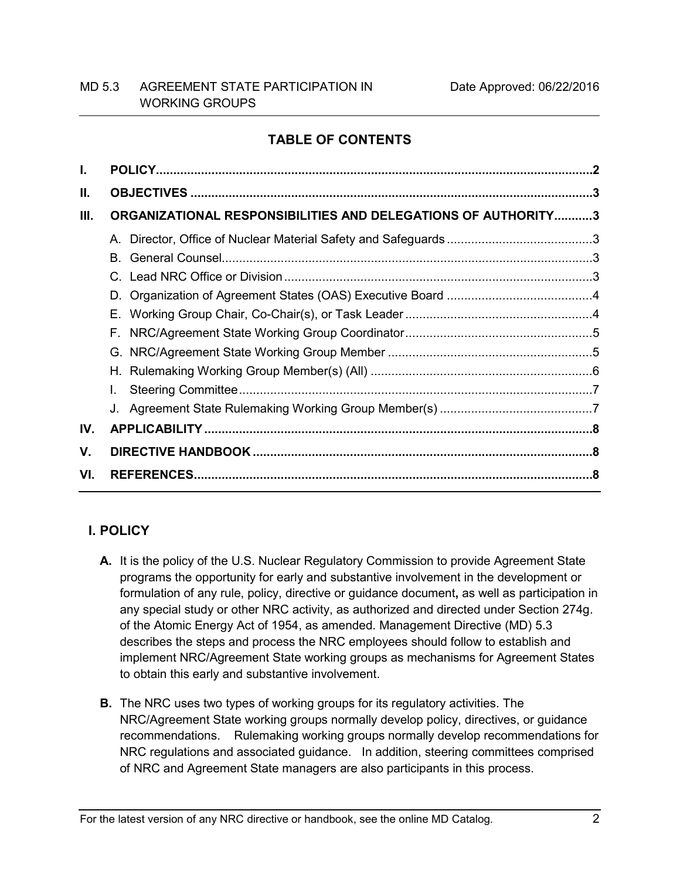# **TABLE OF CONTENTS**

| I.  |                                                               |  |
|-----|---------------------------------------------------------------|--|
| II. |                                                               |  |
| Ш.  | ORGANIZATIONAL RESPONSIBILITIES AND DELEGATIONS OF AUTHORITY3 |  |
|     |                                                               |  |
|     | B.                                                            |  |
|     |                                                               |  |
|     |                                                               |  |
|     |                                                               |  |
|     | F.                                                            |  |
|     |                                                               |  |
|     |                                                               |  |
|     |                                                               |  |
|     |                                                               |  |
| IV. |                                                               |  |
| V.  |                                                               |  |
| VI. |                                                               |  |
|     |                                                               |  |

# <span id="page-1-0"></span>**I. POLICY**

- **A.** It is the policy of the U.S. Nuclear Regulatory Commission to provide Agreement State programs the opportunity for early and substantive involvement in the development or formulation of any rule, policy, directive or guidance document**,** as well as participation in any special study or other NRC activity, as authorized and directed under Section 274g. of the Atomic Energy Act of 1954, as amended. Management Directive (MD) 5.3 describes the steps and process the NRC employees should follow to establish and implement NRC/Agreement State working groups as mechanisms for Agreement States to obtain this early and substantive involvement.
- **B.** The NRC uses two types of working groups for its regulatory activities. The NRC/Agreement State working groups normally develop policy, directives, or guidance recommendations. Rulemaking working groups normally develop recommendations for NRC regulations and associated guidance. In addition, steering committees comprised of NRC and Agreement State managers are also participants in this process.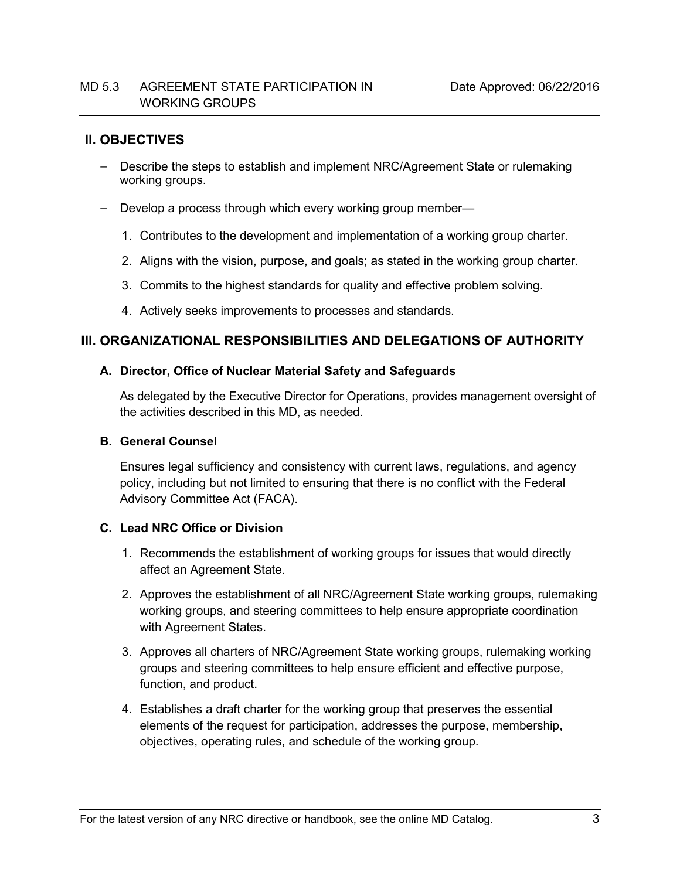# <span id="page-2-0"></span>**II. OBJECTIVES**

- Describe the steps to establish and implement NRC/Agreement State or rulemaking working groups.
- Develop a process through which every working group member—
	- 1. Contributes to the development and implementation of a working group charter.
	- 2. Aligns with the vision, purpose, and goals; as stated in the working group charter.
	- 3. Commits to the highest standards for quality and effective problem solving.
	- 4. Actively seeks improvements to processes and standards.

# <span id="page-2-1"></span>**III. ORGANIZATIONAL RESPONSIBILITIES AND DELEGATIONS OF AUTHORITY**

### <span id="page-2-2"></span>**A. Director, Office of Nuclear Material Safety and Safeguards**

As delegated by the Executive Director for Operations, provides management oversight of the activities described in this MD, as needed.

### <span id="page-2-3"></span>**B. General Counsel**

Ensures legal sufficiency and consistency with current laws, regulations, and agency policy, including but not limited to ensuring that there is no conflict with the Federal Advisory Committee Act (FACA).

# <span id="page-2-4"></span>**C. Lead NRC Office or Division**

- 1. Recommends the establishment of working groups for issues that would directly affect an Agreement State.
- 2. Approves the establishment of all NRC/Agreement State working groups, rulemaking working groups, and steering committees to help ensure appropriate coordination with Agreement States.
- 3. Approves all charters of NRC/Agreement State working groups, rulemaking working groups and steering committees to help ensure efficient and effective purpose, function, and product.
- 4. Establishes a draft charter for the working group that preserves the essential elements of the request for participation, addresses the purpose, membership, objectives, operating rules, and schedule of the working group.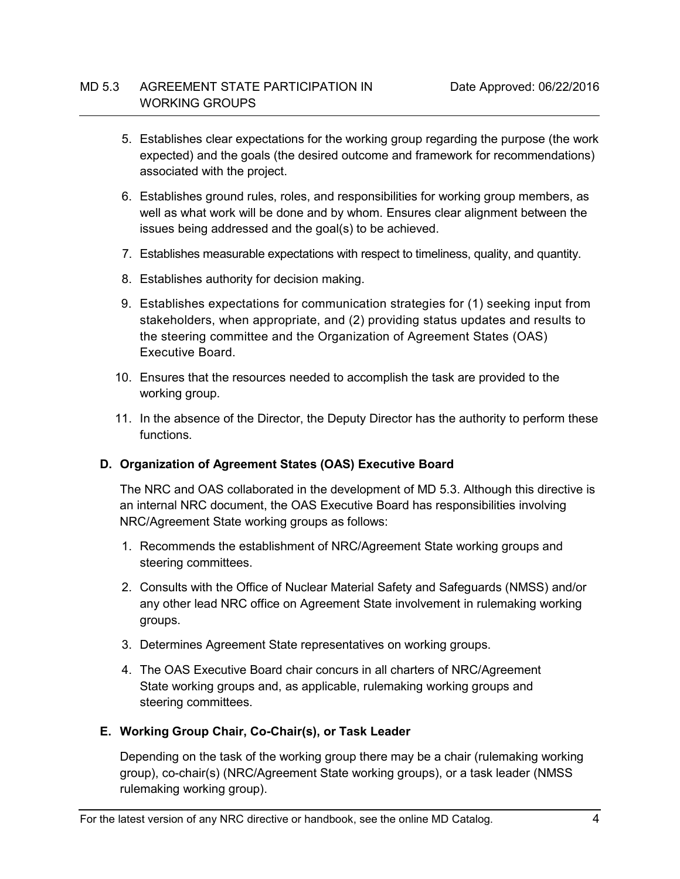- 5. Establishes clear expectations for the working group regarding the purpose (the work expected) and the goals (the desired outcome and framework for recommendations) associated with the project.
- 6. Establishes ground rules, roles, and responsibilities for working group members, as well as what work will be done and by whom. Ensures clear alignment between the issues being addressed and the goal(s) to be achieved.
- 7. Establishes measurable expectations with respect to timeliness, quality, and quantity.
- 8. Establishes authority for decision making.
- 9. Establishes expectations for communication strategies for (1) seeking input from stakeholders, when appropriate, and (2) providing status updates and results to the steering committee and the Organization of Agreement States (OAS) Executive Board.
- 10. Ensures that the resources needed to accomplish the task are provided to the working group.
- 11. In the absence of the Director, the Deputy Director has the authority to perform these functions.

# <span id="page-3-0"></span>**D. Organization of Agreement States (OAS) Executive Board**

The NRC and OAS collaborated in the development of MD 5.3. Although this directive is an internal NRC document, the OAS Executive Board has responsibilities involving NRC/Agreement State working groups as follows:

- 1. Recommends the establishment of NRC/Agreement State working groups and steering committees.
- 2. Consults with the Office of Nuclear Material Safety and Safeguards (NMSS) and/or any other lead NRC office on Agreement State involvement in rulemaking working groups.
- 3. Determines Agreement State representatives on working groups.
- 4. The OAS Executive Board chair concurs in all charters of NRC/Agreement State working groups and, as applicable, rulemaking working groups and steering committees.

# <span id="page-3-1"></span>**E. Working Group Chair, Co-Chair(s), or Task Leader**

Depending on the task of the working group there may be a chair (rulemaking working group), co-chair(s) (NRC/Agreement State working groups), or a task leader (NMSS rulemaking working group).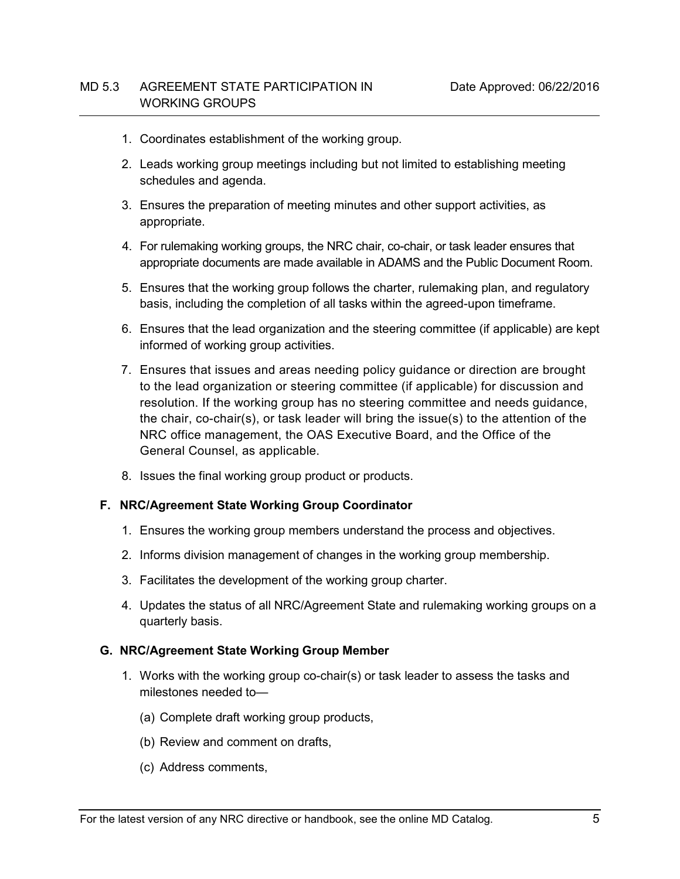- 1. Coordinates establishment of the working group.
- 2. Leads working group meetings including but not limited to establishing meeting schedules and agenda.
- 3. Ensures the preparation of meeting minutes and other support activities, as appropriate.
- 4. For rulemaking working groups, the NRC chair, co-chair, or task leader ensures that appropriate documents are made available in ADAMS and the Public Document Room.
- 5. Ensures that the working group follows the charter, rulemaking plan, and regulatory basis, including the completion of all tasks within the agreed-upon timeframe.
- 6. Ensures that the lead organization and the steering committee (if applicable) are kept informed of working group activities.
- 7. Ensures that issues and areas needing policy guidance or direction are brought to the lead organization or steering committee (if applicable) for discussion and resolution. If the working group has no steering committee and needs guidance, the chair, co-chair(s), or task leader will bring the issue(s) to the attention of the NRC office management, the OAS Executive Board, and the Office of the General Counsel, as applicable.
- 8. Issues the final working group product or products.

#### <span id="page-4-0"></span>**F. NRC/Agreement State Working Group Coordinator**

- 1. Ensures the working group members understand the process and objectives.
- 2. Informs division management of changes in the working group membership.
- 3. Facilitates the development of the working group charter.
- 4. Updates the status of all NRC/Agreement State and rulemaking working groups on a quarterly basis.

### <span id="page-4-1"></span>**G. NRC/Agreement State Working Group Member**

- 1. Works with the working group co-chair(s) or task leader to assess the tasks and milestones needed to—
	- (a) Complete draft working group products,
	- (b) Review and comment on drafts,
	- (c) Address comments,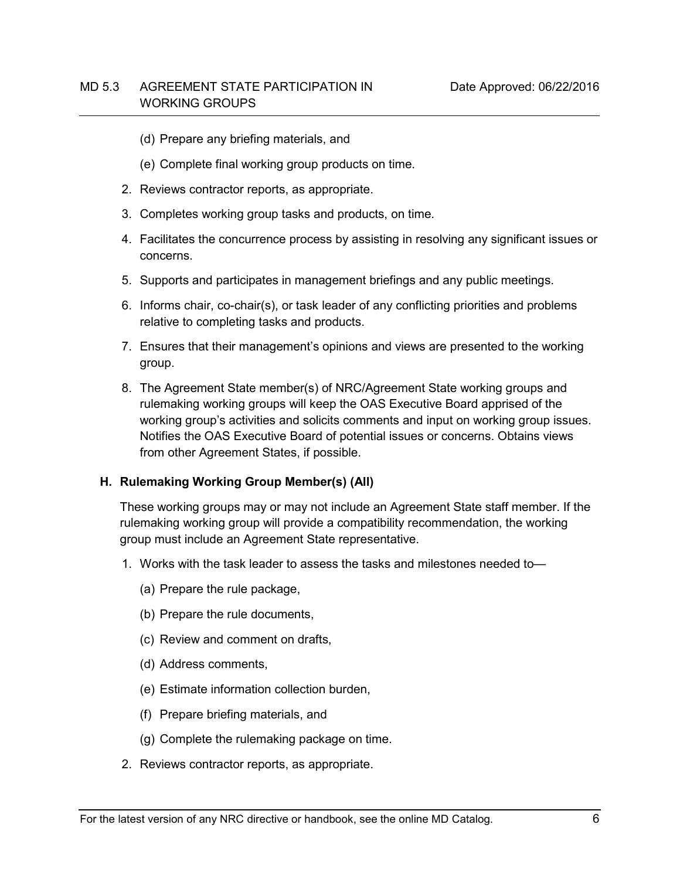- (d) Prepare any briefing materials, and
- (e) Complete final working group products on time.
- 2. Reviews contractor reports, as appropriate.
- 3. Completes working group tasks and products, on time.
- 4. Facilitates the concurrence process by assisting in resolving any significant issues or concerns.
- 5. Supports and participates in management briefings and any public meetings.
- 6. Informs chair, co-chair(s), or task leader of any conflicting priorities and problems relative to completing tasks and products.
- 7. Ensures that their management's opinions and views are presented to the working group.
- 8. The Agreement State member(s) of NRC/Agreement State working groups and rulemaking working groups will keep the OAS Executive Board apprised of the working group's activities and solicits comments and input on working group issues. Notifies the OAS Executive Board of potential issues or concerns. Obtains views from other Agreement States, if possible.

### <span id="page-5-0"></span>**H. Rulemaking Working Group Member(s) (All)**

These working groups may or may not include an Agreement State staff member. If the rulemaking working group will provide a compatibility recommendation, the working group must include an Agreement State representative.

- 1. Works with the task leader to assess the tasks and milestones needed to—
	- (a) Prepare the rule package,
	- (b) Prepare the rule documents,
	- (c) Review and comment on drafts,
	- (d) Address comments,
	- (e) Estimate information collection burden,
	- (f) Prepare briefing materials, and
	- (g) Complete the rulemaking package on time.
- 2. Reviews contractor reports, as appropriate.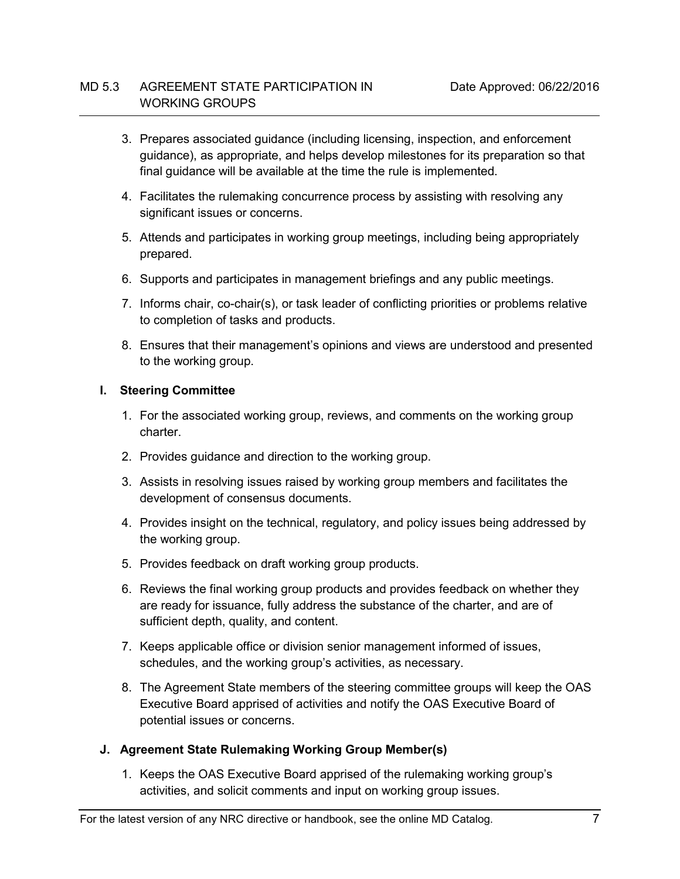- 3. Prepares associated guidance (including licensing, inspection, and enforcement guidance), as appropriate, and helps develop milestones for its preparation so that final guidance will be available at the time the rule is implemented.
- 4. Facilitates the rulemaking concurrence process by assisting with resolving any significant issues or concerns.
- 5. Attends and participates in working group meetings, including being appropriately prepared.
- 6. Supports and participates in management briefings and any public meetings.
- 7. Informs chair, co-chair(s), or task leader of conflicting priorities or problems relative to completion of tasks and products.
- 8. Ensures that their management's opinions and views are understood and presented to the working group.

### <span id="page-6-0"></span>**I. Steering Committee**

- 1. For the associated working group, reviews, and comments on the working group charter.
- 2. Provides guidance and direction to the working group.
- 3. Assists in resolving issues raised by working group members and facilitates the development of consensus documents.
- 4. Provides insight on the technical, regulatory, and policy issues being addressed by the working group.
- 5. Provides feedback on draft working group products.
- 6. Reviews the final working group products and provides feedback on whether they are ready for issuance, fully address the substance of the charter, and are of sufficient depth, quality, and content.
- 7. Keeps applicable office or division senior management informed of issues, schedules, and the working group's activities, as necessary.
- 8. The Agreement State members of the steering committee groups will keep the OAS Executive Board apprised of activities and notify the OAS Executive Board of potential issues or concerns.
- <span id="page-6-1"></span>**J. Agreement State Rulemaking Working Group Member(s)**
	- 1. Keeps the OAS Executive Board apprised of the rulemaking working group's activities, and solicit comments and input on working group issues.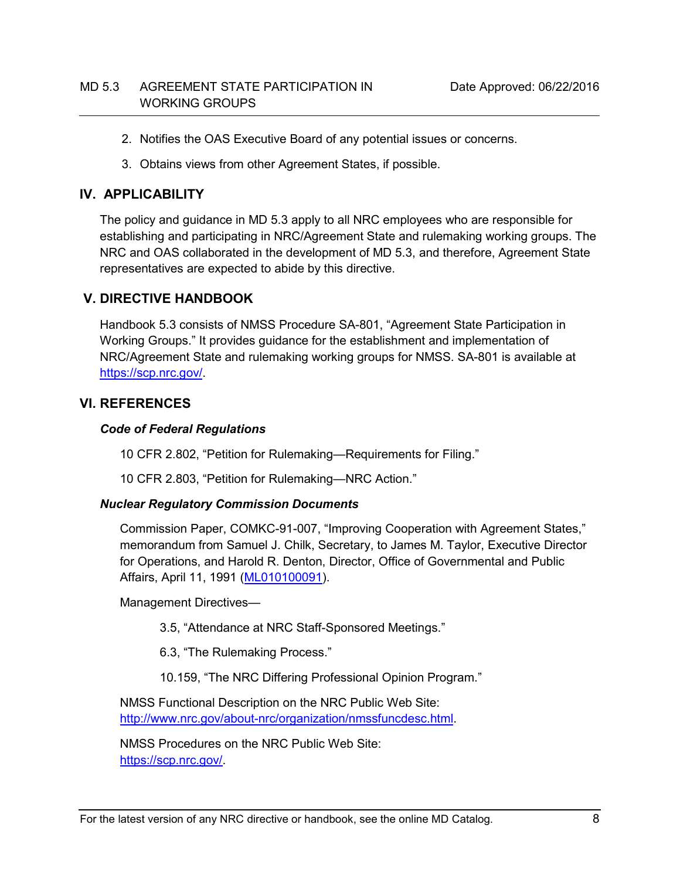- 2. Notifies the OAS Executive Board of any potential issues or concerns.
- <span id="page-7-0"></span>3. Obtains views from other Agreement States, if possible.

# **IV. APPLICABILITY**

The policy and guidance in MD 5.3 apply to all NRC employees who are responsible for establishing and participating in NRC/Agreement State and rulemaking working groups. The NRC and OAS collaborated in the development of MD 5.3, and therefore, Agreement State representatives are expected to abide by this directive.

# <span id="page-7-1"></span>**V. DIRECTIVE HANDBOOK**

Handbook 5.3 consists of NMSS Procedure SA-801, "Agreement State Participation in Working Groups." It provides guidance for the establishment and implementation of NRC/Agreement State and rulemaking working groups for NMSS. SA-801 is available at [https://scp.nrc.gov/.](https://scp.nrc.gov/)

# <span id="page-7-2"></span>**VI. REFERENCES**

### *Code of Federal Regulations*

10 CFR 2.802, "Petition for Rulemaking—Requirements for Filing."

10 CFR 2.803, "Petition for Rulemaking—NRC Action."

# *Nuclear Regulatory Commission Documents*

Commission Paper, COMKC-91-007, "Improving Cooperation with Agreement States," memorandum from Samuel J. Chilk, Secretary, to James M. Taylor, Executive Director for Operations, and Harold R. Denton, Director, Office of Governmental and Public Affairs, April 11, 1991 [\(ML010100091\)](https://adamsxt.nrc.gov/WorkplaceXT/getContent?id=release&vsId=%7BDE875B91-8494-4A0A-913B-FA7E23F5FC42%7D&objectStoreName=Main.__.Library&objectType=document).

Management Directives—

3.5, "Attendance at NRC Staff-Sponsored Meetings."

- 6.3, "The Rulemaking Process."
- 10.159, "The NRC Differing Professional Opinion Program."

NMSS Functional Description on the NRC Public Web Site: [http://www.nrc.gov/about-nrc/organization/nmssfuncdesc.html.](http://www.nrc.gov/about-nrc/organization/nmssfuncdesc.html)

NMSS Procedures on the NRC Public Web Site: [https://scp.nrc.gov/.](https://scp.nrc.gov/)